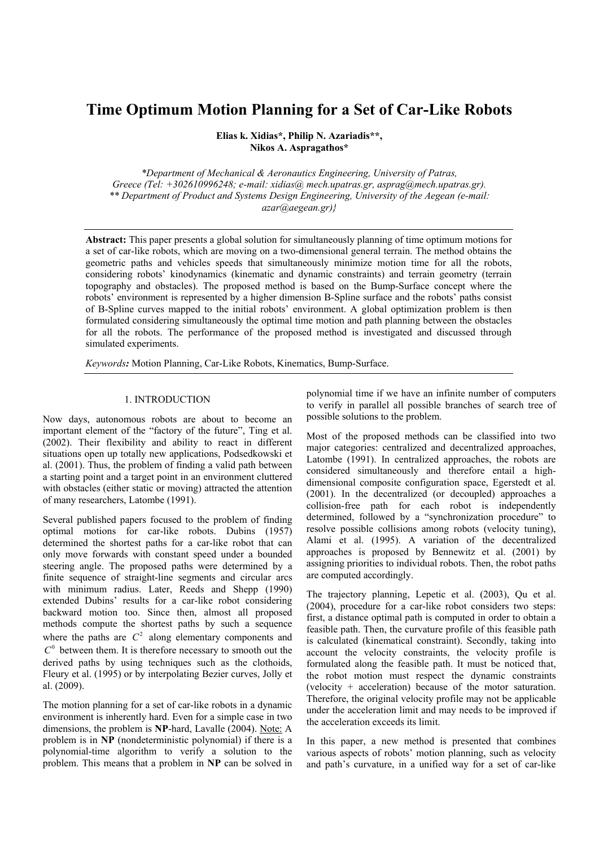# **Time Optimum Motion Planning for a Set of Car-Like Robots**

**Elias k. Xidias\*, Philip N. Azariadis\*\*, Nikos A. Aspragathos\*** 

*\*Department of Mechanical & Aeronautics Engineering, University of Patras, Greece (Tel: +302610996248; e-mail: xidias@ mech.upatras.gr, asprag@mech.upatras.gr). \*\* Department of Product and Systems Design Engineering, University of the Aegean (e-mail: azar@aegean.gr)}* 

**Abstract:** This paper presents a global solution for simultaneously planning of time optimum motions for a set of car-like robots, which are moving on a two-dimensional general terrain. The method obtains the geometric paths and vehicles speeds that simultaneously minimize motion time for all the robots, considering robots' kinodynamics (kinematic and dynamic constraints) and terrain geometry (terrain topography and obstacles). The proposed method is based on the Bump-Surface concept where the robots' environment is represented by a higher dimension B-Spline surface and the robots' paths consist of B-Spline curves mapped to the initial robots' environment. A global optimization problem is then formulated considering simultaneously the optimal time motion and path planning between the obstacles for all the robots. The performance of the proposed method is investigated and discussed through simulated experiments.

*Keywords:* Motion Planning, Car-Like Robots, Kinematics, Bump-Surface.

#### 1. INTRODUCTION

Now days, autonomous robots are about to become an important element of the "factory of the future", Ting et al. (2002). Their flexibility and ability to react in different situations open up totally new applications, Podsedkowski et al. (2001). Thus, the problem of finding a valid path between a starting point and a target point in an environment cluttered with obstacles (either static or moving) attracted the attention of many researchers, Latombe (1991).

Several published papers focused to the problem of finding optimal motions for car-like robots. Dubins (1957) determined the shortest paths for a car-like robot that can only move forwards with constant speed under a bounded steering angle. The proposed paths were determined by a finite sequence of straight-line segments and circular arcs with minimum radius. Later, Reeds and Shepp (1990) extended Dubins' results for a car-like robot considering backward motion too. Since then, almost all proposed methods compute the shortest paths by such a sequence where the paths are  $C^2$  along elementary components and  $C^0$  between them. It is therefore necessary to smooth out the derived paths by using techniques such as the clothoids, Fleury et al. (1995) or by interpolating Bezier curves, Jolly et al. (2009).

The motion planning for a set of car-like robots in a dynamic environment is inherently hard. Even for a simple case in two dimensions, the problem is **NP**-hard, Lavalle (2004). Note: A problem is in **NP** (nondeterministic polynomial) if there is a polynomial-time algorithm to verify a solution to the problem. This means that a problem in **NP** can be solved in polynomial time if we have an infinite number of computers to verify in parallel all possible branches of search tree of possible solutions to the problem.

Most of the proposed methods can be classified into two major categories: centralized and decentralized approaches, Latombe (1991). In centralized approaches, the robots are considered simultaneously and therefore entail a highdimensional composite configuration space, Egerstedt et al. (2001). In the decentralized (or decoupled) approaches a collision-free path for each robot is independently determined, followed by a "synchronization procedure" to resolve possible collisions among robots (velocity tuning), Alami et al. (1995). A variation of the decentralized approaches is proposed by Bennewitz et al. (2001) by assigning priorities to individual robots. Then, the robot paths are computed accordingly.

The trajectory planning, Lepetic et al. (2003), Qu et al. (2004), procedure for a car-like robot considers two steps: first, a distance optimal path is computed in order to obtain a feasible path. Then, the curvature profile of this feasible path is calculated (kinematical constraint). Secondly, taking into account the velocity constraints, the velocity profile is formulated along the feasible path. It must be noticed that, the robot motion must respect the dynamic constraints (velocity + acceleration) because of the motor saturation. Therefore, the original velocity profile may not be applicable under the acceleration limit and may needs to be improved if the acceleration exceeds its limit.

In this paper, a new method is presented that combines various aspects of robots' motion planning, such as velocity and path's curvature, in a unified way for a set of car-like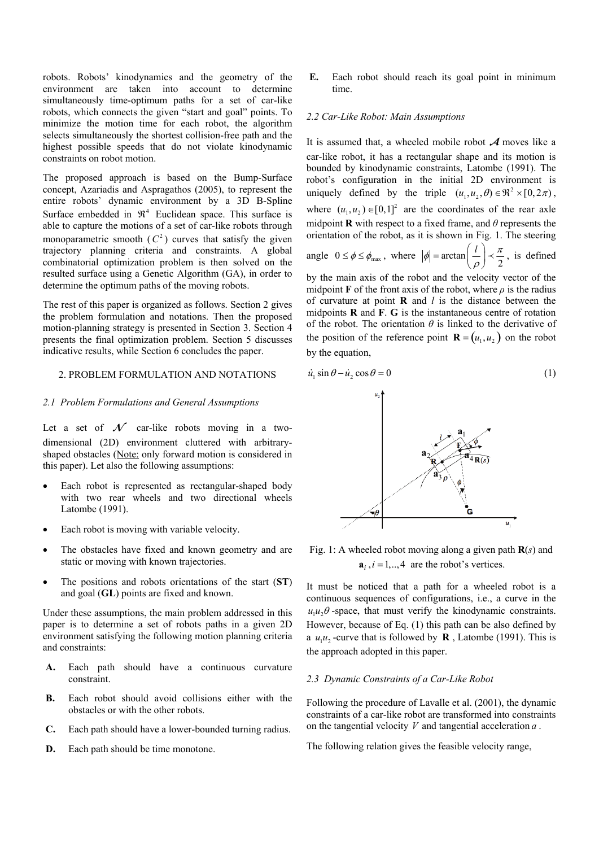robots. Robots' kinodynamics and the geometry of the environment are taken into account to determine simultaneously time-optimum paths for a set of car-like robots, which connects the given "start and goal" points. To minimize the motion time for each robot, the algorithm selects simultaneously the shortest collision-free path and the highest possible speeds that do not violate kinodynamic constraints on robot motion.

The proposed approach is based on the Bump-Surface concept, Azariadis and Aspragathos (2005), to represent the entire robots' dynamic environment by a 3D B-Spline Surface embedded in  $\mathfrak{R}^4$  Euclidean space. This surface is able to capture the motions of a set of car-like robots through monoparametric smooth  $(C^2)$  curves that satisfy the given trajectory planning criteria and constraints. A global combinatorial optimization problem is then solved on the resulted surface using a Genetic Algorithm (GA), in order to determine the optimum paths of the moving robots.

The rest of this paper is organized as follows. Section 2 gives the problem formulation and notations. Then the proposed motion-planning strategy is presented in Section 3. Section 4 presents the final optimization problem. Section 5 discusses indicative results, while Section 6 concludes the paper.

### 2. PROBLEM FORMULATION AND NOTATIONS

## *2.1 Problem Formulations and General Assumptions*

Let a set of  $\mathcal N$  car-like robots moving in a twodimensional (2D) environment cluttered with arbitraryshaped obstacles (Note: only forward motion is considered in this paper). Let also the following assumptions:

- Each robot is represented as rectangular-shaped body with two rear wheels and two directional wheels Latombe (1991).
- Each robot is moving with variable velocity.
- The obstacles have fixed and known geometry and are static or moving with known trajectories.
- The positions and robots orientations of the start (**ST**) and goal (**GL**) points are fixed and known.

Under these assumptions, the main problem addressed in this paper is to determine a set of robots paths in a given 2D environment satisfying the following motion planning criteria and constraints:

- **A.** Each path should have a continuous curvature constraint.
- **B.** Each robot should avoid collisions either with the obstacles or with the other robots.
- **C.** Each path should have a lower-bounded turning radius.
- **D.** Each path should be time monotone.

**E.** Each robot should reach its goal point in minimum time.

## *2.2 Car-Like Robot: Main Assumptions*

It is assumed that, a wheeled mobile robot  $A$  moves like a car-like robot, it has a rectangular shape and its motion is bounded by kinodynamic constraints, Latombe (1991). The robot's configuration in the initial 2D environment is uniquely defined by the triple  $(u_1, u_2, \theta) \in \mathbb{R}^2 \times [0, 2\pi)$ , where  $(u_1, u_2) \in [0,1]^2$  are the coordinates of the rear axle midpoint **R** with respect to a fixed frame, and *θ* represents the orientation of the robot, as it is shown in Fig. 1. The steering angle  $0 \le \phi \le \phi_{\text{max}}$ , where  $|\phi| = \arctan\left(\frac{l}{\rho}\right) \prec \frac{\pi}{2}$ , is defined

by the main axis of the robot and the velocity vector of the midpoint **F** of the front axis of the robot, where  $\rho$  is the radius of curvature at point **R** and *l* is the distance between the midpoints **R** and **F**. **G** is the instantaneous centre of rotation of the robot. The orientation  $\theta$  is linked to the derivative of the position of the reference point  $\mathbf{R} = (u_1, u_2)$  on the robot by the equation,

$$
\dot{u}_1 \sin \theta - \dot{u}_2 \cos \theta = 0 \tag{1}
$$



Fig. 1: A wheeled robot moving along a given path **R**(*s*) and  $a_i$ ,  $i = 1, \ldots, 4$  are the robot's vertices.

It must be noticed that a path for a wheeled robot is a continuous sequences of configurations, i.e., a curve in the  $u_1 u_2 \theta$ -space, that must verify the kinodynamic constraints. However, because of Eq. (1) this path can be also defined by a  $u_1 u_2$ -curve that is followed by **R**, Latombe (1991). This is the approach adopted in this paper.

#### *2.3 Dynamic Constraints of a Car-Like Robot*

Following the procedure of Lavalle et al. (2001), the dynamic constraints of a car-like robot are transformed into constraints on the tangential velocity *V* and tangential acceleration *a* .

The following relation gives the feasible velocity range,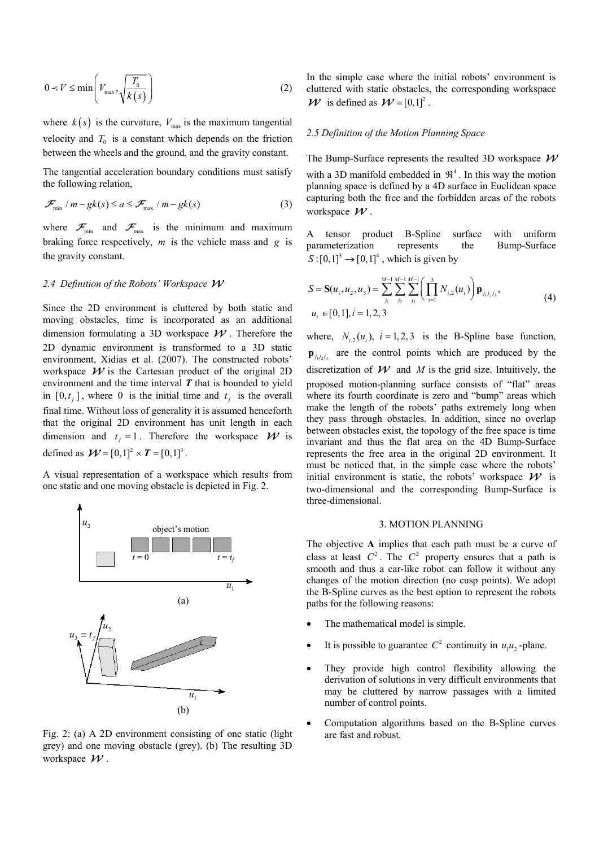$$
0 \prec V \le \min\left(V_{\text{max}}, \sqrt{\frac{T_0}{k(s)}}\right) \tag{2}
$$

where  $k(s)$  is the curvature,  $V_{\text{max}}$  is the maximum tangential velocity and  $T_0$  is a constant which depends on the friction between the wheels and the ground, and the gravity constant.

The tangential acceleration boundary conditions must satisfy the following relation,

$$
\mathcal{F}_{\min} / m - gk(s) \le a \le \mathcal{F}_{\max} / m - gk(s)
$$
 (3)

where  $\mathcal{F}_{\text{min}}$  and  $\mathcal{F}_{\text{max}}$  is the minimum and maximum braking force respectively, *m* is the vehicle mass and *g* is the gravity constant.

# *2.4 Definition of the Robots' Workspace*

Since the 2D environment is cluttered by both static and moving obstacles, time is incorporated as an additional dimension formulating a 3D workspace  $W$ . Therefore the 2D dynamic environment is transformed to a 3D static environment, Xidias et al. (2007). The constructed robots' workspace  $W$  is the Cartesian product of the original 2D environment and the time interval *T* that is bounded to yield in  $[0, t_f]$ , where 0 is the initial time and  $t_f$  is the overall final time. Without loss of generality it is assumed henceforth that the original 2D environment has unit length in each dimension and  $t_f = 1$ . Therefore the workspace  $\mathcal{W}$  is defined as  $\mathcal{W} = [0,1]^2 \times T = [0,1]^3$ .

A visual representation of a workspace which results from one static and one moving obstacle is depicted in Fig. 2.



Fig. 2: (a) A 2D environment consisting of one static (light grey) and one moving obstacle (grey). (b) The resulting 3D workspace  $W$ .

In the simple case where the initial robots' environment is cluttered with static obstacles, the corresponding workspace  $\mathcal{W}$  is defined as  $\mathcal{W} = [0,1]^2$ .

### *2.5 Definition of the Motion Planning Space*

The Bump-Surface represents the resulted 3D workspace  $W$ with a 3D manifold embedded in  $\mathfrak{R}^4$ . In this way the motion planning space is defined by a 4D surface in Euclidean space capturing both the free and the forbidden areas of the robots workspace  $W$ .

A tensor product B-Spline surface with uniform parameterization represents the Bump-Surface  $S: [0,1]^3 \rightarrow [0,1]^4$ , which is given by

$$
S = \mathbf{S}(u_1, u_2, u_3) = \sum_{j_1}^{M-1} \sum_{j_2}^{M-1} \sum_{j_3}^{M-1} \left( \prod_{i=1}^3 N_{i,2}(u_i) \right) \mathbf{p}_{j_1 j_2 j_3},
$$
  
\n
$$
u_i \in [0, 1], i = 1, 2, 3
$$
\n(4)

where,  $N_i$ ,  $(u_i)$ ,  $i = 1, 2, 3$  is the B-Spline base function,  $\mathbf{p}_{j_1 j_2 j_3}$  are the control points which are produced by the discretization of  $W$  and *M* is the grid size. Intuitively, the proposed motion-planning surface consists of "flat" areas where its fourth coordinate is zero and "bump" areas which make the length of the robots' paths extremely long when they pass through obstacles. In addition, since no overlap between obstacles exist, the topology of the free space is time invariant and thus the flat area on the 4D Bump-Surface represents the free area in the original 2D environment. It must be noticed that, in the simple case where the robots' initial environment is static, the robots' workspace  $W$  is two-dimensional and the corresponding Bump-Surface is three-dimensional.

#### 3. MOTION PLANNING

The objective **A** implies that each path must be a curve of class at least  $C^2$ . The  $C^2$  property ensures that a path is smooth and thus a car-like robot can follow it without any changes of the motion direction (no cusp points). We adopt the B-Spline curves as the best option to represent the robots paths for the following reasons:

- The mathematical model is simple.
- It is possible to guarantee  $C^2$  continuity in  $u_1 u_2$ -plane.
- They provide high control flexibility allowing the derivation of solutions in very difficult environments that may be cluttered by narrow passages with a limited number of control points.
- Computation algorithms based on the B-Spline curves are fast and robust.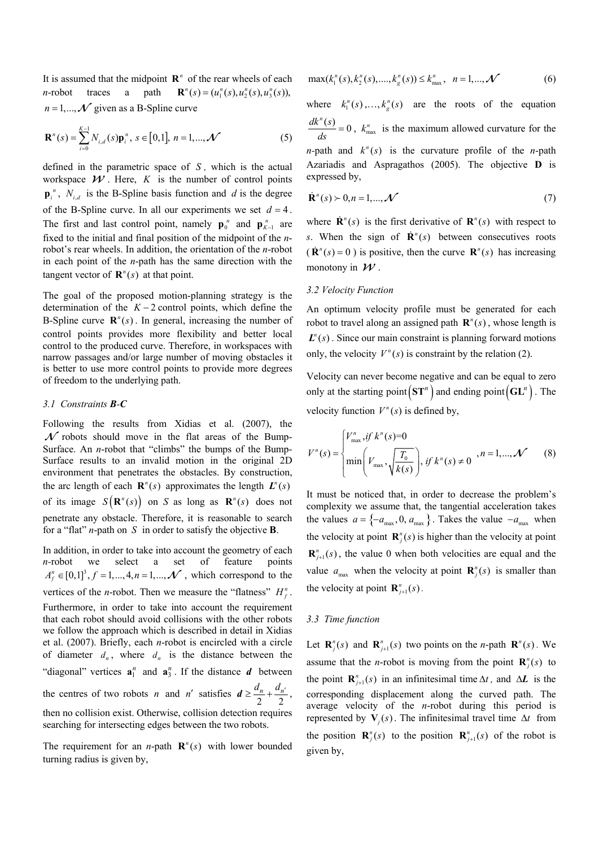It is assumed that the midpoint  $\mathbb{R}^n$  of the rear wheels of each *n*-robot traces a path  $(u_1^n(s), u_2^n(s), u_3^n(s)),$  $n = 1, ..., \mathcal{N}$  given as a B-Spline curve

$$
\mathbf{R}^{n}(s) = \sum_{i=0}^{K-1} N_{i,d}(s) \mathbf{p}_{i}^{n}, \ s \in [0,1], \ n = 1,...,N
$$
 (5)

defined in the parametric space of *S ,* which is the actual workspace  $W$ . Here, K is the number of control points  $\mathbf{p}^n_i$ ,  $N_{i,d}$  is the B-Spline basis function and *d* is the degree of the B-Spline curve. In all our experiments we set  $d = 4$ . The first and last control point, namely  $\mathbf{p}_0^n$  and  $\mathbf{p}_{K-1}^n$  are fixed to the initial and final position of the midpoint of the *n*robot's rear wheels. In addition, the orientation of the *n*-robot in each point of the *n*-path has the same direction with the tangent vector of  $\mathbf{R}^n(s)$  at that point.

The goal of the proposed motion-planning strategy is the determination of the  $K - 2$  control points, which define the B-Spline curve  $\mathbf{R}^n(s)$ . In general, increasing the number of control points provides more flexibility and better local control to the produced curve. Therefore, in workspaces with narrow passages and/or large number of moving obstacles it is better to use more control points to provide more degrees of freedom to the underlying path.

#### *3.1 Constraints B-C*

Following the results from Xidias et al. (2007), the  $\mathcal N$  robots should move in the flat areas of the Bump-Surface. An *n*-robot that "climbs" the bumps of the Bump-Surface results to an invalid motion in the original 2D environment that penetrates the obstacles. By construction, the arc length of each  $\mathbf{R}^n(s)$  approximates the length  $\mathbf{L}^n(s)$ of its image  $S(R^n(s))$  on *S* as long as  $R^n(s)$  does not penetrate any obstacle. Therefore, it is reasonable to search for a "flat" *n*-path on *S* in order to satisfy the objective **B**.

In addition, in order to take into account the geometry of each *n*-robot we select a set of feature points  $A_f^n \in [0,1]^3, f = 1,..., 4, n = 1,..., \mathcal{N}$ , which correspond to the vertices of the *n*-robot. Then we measure the "flatness"  $H_f^n$ . Furthermore, in order to take into account the requirement that each robot should avoid collisions with the other robots we follow the approach which is described in detail in Xidias et al. (2007). Briefly, each *n*-robot is encircled with a circle of diameter  $d_n$ , where  $d_n$  is the distance between the "diagonal" vertices  $\mathbf{a}_1^n$  and  $\mathbf{a}_3^n$ . If the distance  $\boldsymbol{d}$  between the centres of two robots *n* and *n'* satisfies  $d \ge \frac{d_n}{2} + \frac{d_{n'}}{2}$ , then no collision exist. Otherwise, collision detection requires searching for intersecting edges between the two robots.

The requirement for an *n*-path  $\mathbf{R}^n(s)$  with lower bounded turning radius is given by,

$$
\max(k_1^n(s), k_2^n(s), \dots, k_g^n(s)) \le k_{\max}^n, \ \ n = 1, \dots, \mathcal{N}
$$
 (6)

where  $k_1^n(s),..., k_g^n(s)$  are the roots of the equation  $\frac{dk^n(s)}{ds} = 0$ ,  $k_{\text{max}}^n$  is the maximum allowed curvature for the *n*-path and  $k^n(s)$  is the curvature profile of the *n*-path Azariadis and Aspragathos (2005). The objective **D** is expressed by,

$$
\dot{\mathbf{R}}^{n}(s) \succ 0, n = 1, \ldots, \mathcal{N}
$$
\n<sup>(7)</sup>

where  $\dot{\mathbf{R}}^n(s)$  is the first derivative of  $\mathbf{R}^n(s)$  with respect to *s*. When the sign of  $\dot{\mathbf{R}}^n$ (*s*) between consecutives roots  $(\dot{\mathbf{R}}^n(s) = 0)$  is positive, then the curve  $\mathbf{R}^n(s)$  has increasing monotony in  $W$ .

### *3.2 Velocity Function*

An optimum velocity profile must be generated for each robot to travel along an assigned path  $\mathbf{R}^n(s)$ , whose length is  $\mathbf{L}^n$ (s). Since our main constraint is planning forward motions only, the velocity  $V^n(s)$  is constraint by the relation (2).

Velocity can never become negative and can be equal to zero only at the starting point  $\left( \mathbf{ST}^n \right)$  and ending point  $\left( \mathbf{GL}^n \right)$ . The velocity function  $V^n(s)$  is defined by,

$$
V^{n}(s) = \begin{cases} V^{n}_{\max}, & \text{if } k^{n}(s) = 0 \\ \min\left(V_{\max}, \sqrt{\frac{T_{0}}{k(s)}}\right), & \text{if } k^{n}(s) \neq 0 \end{cases}, n = 1, ..., \mathcal{N} \tag{8}
$$

It must be noticed that, in order to decrease the problem's complexity we assume that, the tangential acceleration takes the values  $a = \{-a_{\text{max}}, 0, a_{\text{max}}\}\$ . Takes the value  $-a_{\text{max}}$  when the velocity at point  $\mathbf{R}^n_j(s)$  is higher than the velocity at point  ${\bf R}^n_{j+1}(s)$ , the value 0 when both velocities are equal and the value  $a_{\text{max}}$  when the velocity at point  $\mathbf{R}^n_j(s)$  is smaller than the velocity at point  $\mathbf{R}^n_{j+1}(s)$ .

#### *3.3 Time function*

Let  $\mathbf{R}^n_j(s)$  and  $\mathbf{R}^n_{j+1}(s)$  two points on the *n*-path  $\mathbf{R}^n(s)$ . We assume that the *n*-robot is moving from the point  $\mathbf{R}^n_j(s)$  to the point  $\mathbf{R}^n_{j+1}(s)$  in an infinitesimal time  $\Delta t$ , and  $\Delta L$  is the corresponding displacement along the curved path. The average velocity of the *n*-robot during this period is represented by  $V_i(s)$ . The infinitesimal travel time  $\Delta t$  from the position  $\mathbf{R}^n_j(s)$  to the position  $\mathbf{R}^n_{j+1}(s)$  of the robot is given by,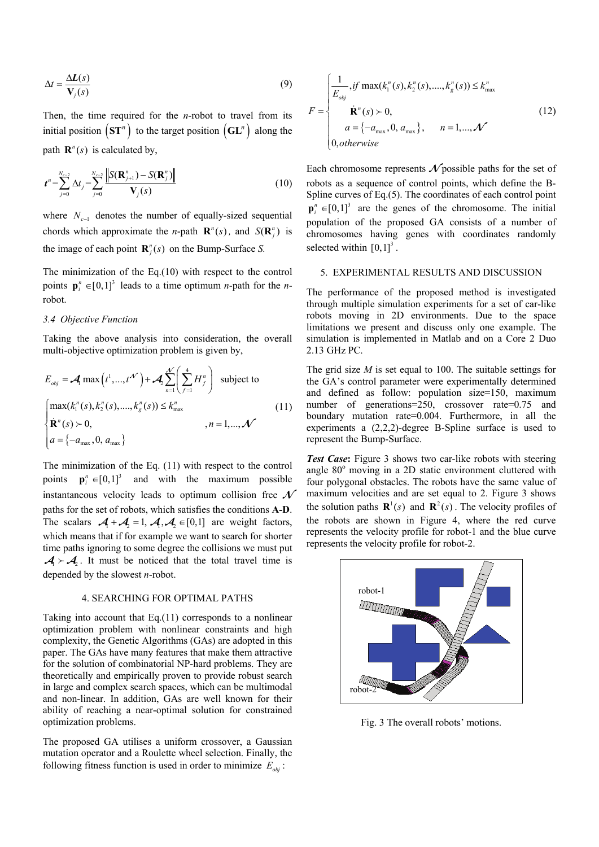$$
\Delta t = \frac{\Delta L(s)}{V_j(s)}\tag{9}
$$

Then, the time required for the *n*-robot to travel from its initial position  $(\mathbf{ST}^n)$  to the target position  $(\mathbf{GL}^n)$  along the path  $\mathbf{R}^n(s)$  is calculated by,

$$
t^{n} = \sum_{j=0}^{N_{c-2}} \Delta t_{j} = \sum_{j=0}^{N_{c-2}} \frac{\left\| S(\mathbf{R}_{j+1}^{n}) - S(\mathbf{R}_{j}^{n}) \right\|}{V_{j}(s)}
$$
(10)

where  $N_{c-1}$  denotes the number of equally-sized sequential chords which approximate the *n*-path  $\mathbf{R}^n(s)$ , and  $S(\mathbf{R}^n)$  is the image of each point  $\mathbf{R}^n_i(s)$  on the Bump-Surface *S*.

The minimization of the Eq.(10) with respect to the control points  $\mathbf{p}_i^n \in [0,1]^3$  leads to a time optimum *n*-path for the *n*robot.

## *3.4 Objective Function*

Taking the above analysis into consideration, the overall multi-objective optimization problem is given by,

$$
E_{obj} = \mathcal{A} \max\left(t^1, \dots, t^{\mathcal{N}}\right) + \mathcal{A}_2 \sum_{n=1}^{\mathcal{N}} \left(\sum_{f=1}^4 H_f^n\right) \text{ subject to}
$$
\n
$$
\begin{cases}\n\max(k_1^n(s), k_2^n(s), \dots, k_g^n(s)) \le k_{\text{max}}^n \\
\mathbf{R}^n(s) > 0, \\
a = \{-a_{\text{max}}, 0, a_{\text{max}}\}\n\end{cases} \tag{11}
$$

The minimization of the Eq. (11) with respect to the control points **p***<sup>i</sup>*  $\mathbf{p}^n \in [0,1]^3$  and with the maximum possible instantaneous velocity leads to optimum collision free  $\mathcal N$ paths for the set of robots, which satisfies the conditions **A-D**. The scalars  $A_1 + A_2 = 1$ ,  $A_1, A_2 \in [0,1]$  are weight factors, which means that if for example we want to search for shorter time paths ignoring to some degree the collisions we must put  $A \rightarrow A$ . It must be noticed that the total travel time is depended by the slowest *n*-robot.

## 4. SEARCHING FOR OPTIMAL PATHS

Taking into account that Eq.(11) corresponds to a nonlinear optimization problem with nonlinear constraints and high complexity, the Genetic Algorithms (GAs) are adopted in this paper. The GAs have many features that make them attractive for the solution of combinatorial NP-hard problems. They are theoretically and empirically proven to provide robust search in large and complex search spaces, which can be multimodal and non-linear. In addition, GAs are well known for their ability of reaching a near-optimal solution for constrained optimization problems.

The proposed GA utilises a uniform crossover, a Gaussian mutation operator and a Roulette wheel selection. Finally, the following fitness function is used in order to minimize  $E_{obj}$ :

$$
F = \begin{cases} \frac{1}{E_{obj}} & \text{if } \max(k_1^n(s), k_2^n(s), \dots, k_g^n(s)) \le k_{\max}^n\\ & \hat{\mathbf{R}}^n(s) > 0, \\ & a = \{-a_{\max}, 0, a_{\max}\}, \quad n = 1, \dots, \mathcal{N} \\ 0, \text{otherwise} \end{cases}
$$
(12)

Each chromosome represents  $\mathcal N$  possible paths for the set of robots as a sequence of control points, which define the B-Spline curves of Eq.(5). The coordinates of each control point  $\mathbf{p}^n_i \in [0,1]^3$  are the genes of the chromosome. The initial population of the proposed GA consists of a number of chromosomes having genes with coordinates randomly selected within  $[0,1]^3$ .

#### 5. EXPERIMENTAL RESULTS AND DISCUSSION

The performance of the proposed method is investigated through multiple simulation experiments for a set of car-like robots moving in 2D environments. Due to the space limitations we present and discuss only one example. The simulation is implemented in Matlab and on a Core 2 Duo 2.13 GHz PC.

The grid size *M* is set equal to 100. The suitable settings for the GA's control parameter were experimentally determined and defined as follow: population size=150, maximum number of generations=250, crossover rate=0.75 and boundary mutation rate=0.004. Furthermore, in all the experiments a (2,2,2)-degree B-Spline surface is used to represent the Bump-Surface.

*Test Case*: Figure 3 shows two car-like robots with steering angle 80° moving in a 2D static environment cluttered with four polygonal obstacles. The robots have the same value of maximum velocities and are set equal to 2. Figure 3 shows the solution paths  $\mathbf{R}^1(s)$  and  $\mathbf{R}^2(s)$ . The velocity profiles of the robots are shown in Figure 4, where the red curve represents the velocity profile for robot-1 and the blue curve represents the velocity profile for robot-2.



Fig. 3 The overall robots' motions.